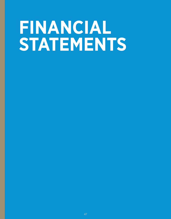# **FINANCIAL STATEMENTS**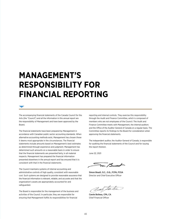# **MANAGEMENT'S RESPONSIBILITY FOR FINANCIAL REPORTING**

The accompanying financial statements of the Canada Council for the Arts (the "Council") and all the information in this annual report are the responsibility of Management and have been approved by the Board.

The financial statements have been prepared by Management in accordance with Canadian public sector accounting standards. When alternative accounting methods exist, Management has chosen those it deems most appropriate in the circumstances. The financial statements include amounts based on Management's best estimates as determined through experience and judgment. Management has determined such amounts on a reasonable basis in order to ensure that the financial statements are presented fairly, in all material respects. Management has prepared the financial information presented elsewhere in the annual report and has ensured that it is consistent with that in the financial statements.

The Council maintains systems of internal accounting and administrative controls of high quality, consistent with reasonable cost. Such systems are designed to provide reasonable assurance that the financial information is relevant, reliable, and accurate and that the organization's assets are appropriately accounted for and safeguarded.

The Board is responsible for the management of the business and activities of the Council. In particular, they are responsible for ensuring that Management fulfills its responsibilities for financial

reporting and internal controls. They exercise this responsibility through the Audit and Finance Committee, which is composed of members who are not employees of the Council. The Audit and Finance Committee meets with Management, the internal auditors and the Office of the Auditor General of Canada on a regular basis. The Committee reports its findings to the Board for consideration when approving the financial statements.

The independent auditor, the Auditor General of Canada, is responsible for auditing the financial statements of the Council and for issuing the report thereon.

June 22, 2021

mm / Sunew

Simon Brault, O.C., O.Q., FCPA, FCGA Director and Chief Executive Officer

aude Sorten

Carole Boileau, CPA, CA Chief Financial Officer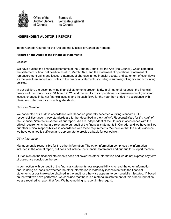

Office of the **Auditor General** of Canada

Bureau du vérificateur général du Canada

# **INDEPENDENT AUDITOR'S REPORT**

To the Canada Council for the Arts and the Minister of Canadian Heritage

# **Report on the Audit of the Financial Statements**

# *Opinion*

We have audited the financial statements of the Canada Council for the Arts (the Council), which comprise the statement of financial position as at 31 March 2021, and the statement of operations, statement of remeasurement gains and losses, statement of changes in net financial assets, and statement of cash flows for the year then ended, and notes to the financial statements, including a summary of significant accounting policies.

In our opinion, the accompanying financial statements present fairly, in all material respects, the financial position of the Council as at 31 March 2021, and the results of its operations, its remeasurement gains and losses, changes in its net financial assets, and its cash flows for the year then ended in accordance with Canadian public sector accounting standards.

# *Basis for Opinion*

We conducted our audit in accordance with Canadian generally accepted auditing standards. Our responsibilities under those standards are further described in the *Auditor's Responsibilities for the Audit of the Financial Statements* section of our report. We are independent of the Council in accordance with the ethical requirements that are relevant to our audit of the financial statements in Canada, and we have fulfilled our other ethical responsibilities in accordance with these requirements. We believe that the audit evidence we have obtained is sufficient and appropriate to provide a basis for our opinion.

# *Other Information*

Management is responsible for the other information. The other information comprises the information included in the annual report, but does not include the financial statements and our auditor's report thereon.

Our opinion on the financial statements does not cover the other information and we do not express any form of assurance conclusion thereon.

In connection with our audit of the financial statements, our responsibility is to read the other information and, in doing so, consider whether the other information is materially inconsistent with the financial statements or our knowledge obtained in the audit, or otherwise appears to be materially misstated. If, based on the work we have performed, we conclude that there is a material misstatement of this other information, we are required to report that fact. We have nothing to report in this regard.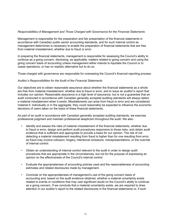# *Responsibilities of Management and Those Charged with Governance for the Financial Statements*

Management is responsible for the preparation and fair presentation of the financial statements in accordance with Canadian public sector accounting standards, and for such internal control as management determines is necessary to enable the preparation of financial statements that are free from material misstatement, whether due to fraud or error.

In preparing the financial statements, management is responsible for assessing the Council's ability to continue as a going concern, disclosing, as applicable, matters related to going concern and using the going concern basis of accounting unless management either intends to liquidate the Council or to cease operations, or has no realistic alternative but to do so.

Those charged with governance are responsible for overseeing the Council's financial reporting process.

# *Auditor's Responsibilities for the Audit of the Financial Statements*

Our objectives are to obtain reasonable assurance about whether the financial statements as a whole are free from material misstatement, whether due to fraud or error, and to issue an auditor's report that includes our opinion. Reasonable assurance is a high level of assurance, but is not a guarantee that an audit conducted in accordance with Canadian generally accepted auditing standards will always detect a material misstatement when it exists. Misstatements can arise from fraud or error and are considered material if, individually or in the aggregate, they could reasonably be expected to influence the economic decisions of users taken on the basis of these financial statements.

As part of an audit in accordance with Canadian generally accepted auditing standards, we exercise professional judgment and maintain professional skepticism throughout the audit. We also:

- Identify and assess the risks of material misstatement of the financial statements, whether due to fraud or error, design and perform audit procedures responsive to those risks, and obtain audit evidence that is sufficient and appropriate to provide a basis for our opinion. The risk of not detecting a material misstatement resulting from fraud is higher than for one resulting from error, as fraud may involve collusion, forgery, intentional omissions, misrepresentations, or the override of internal control.
- Obtain an understanding of internal control relevant to the audit in order to design audit procedures that are appropriate in the circumstances, but not for the purpose of expressing an opinion on the effectiveness of the Council's internal control.
- Evaluate the appropriateness of accounting policies used and the reasonableness of accounting estimates and related disclosures made by management.
- Conclude on the appropriateness of management's use of the going concern basis of accounting and, based on the audit evidence obtained, whether a material uncertainty exists related to events or conditions that may cast significant doubt on the Council's ability to continue as a going concern. If we conclude that a material uncertainty exists, we are required to draw attention in our auditor's report to the related disclosures in the financial statements or, if such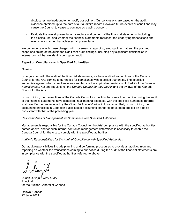disclosures are inadequate, to modify our opinion. Our conclusions are based on the audit evidence obtained up to the date of our auditor's report. However, future events or conditions may cause the Council to cease to continue as a going concern.

• Evaluate the overall presentation, structure and content of the financial statements, including the disclosures, and whether the financial statements represent the underlying transactions and events in a manner that achieves fair presentation.

We communicate with those charged with governance regarding, among other matters, the planned scope and timing of the audit and significant audit findings, including any significant deficiencies in internal control that we identify during our audit.

# **Report on Compliance with Specified Authorities**

# *Opinion*

In conjunction with the audit of the financial statements, we have audited transactions of the Canada Council for the Arts coming to our notice for compliance with specified authorities. The specified authorities against which compliance was audited are the applicable provisions of Part X of the *Financial Administration Act* and regulations, the *Canada Council for the Arts Act* and the by laws of the Canada Council for the Arts.

In our opinion, the transactions of the Canada Council for the Arts that came to our notice during the audit of the financial statements have complied, in all material respects, with the specified authorities referred to above. Further, as required by the *Financial Administration Act*, we report that, in our opinion, the accounting principles in Canadian public sector accounting standards have been applied on a basis consistent with that of the preceding year.

# *Responsibilities of Management for Compliance with Specified Authorities*

Management is responsible for the Canada Council for the Arts' compliance with the specified authorities named above, and for such internal control as management determines is necessary to enable the Canada Council for the Arts to comply with the specified authorities.

# *Auditor's Responsibilities for the Audit of Compliance with Specified Authorities*

Our audit responsibilities include planning and performing procedures to provide an audit opinion and reporting on whether the transactions coming to our notice during the audit of the financial statements are in compliance with the specified authorities referred to above.

Munix

Dusan Duvnjak, CPA, CMA **Principal** for the Auditor General of Canada

Ottawa, Canada 22 June 2021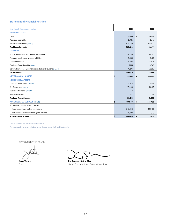#### **Statement of Financial Position**

| As at March 31 (in thousands of dollars)                         | 2021                    | 2020                    |
|------------------------------------------------------------------|-------------------------|-------------------------|
| <b>FINANCIAL ASSETS</b>                                          |                         |                         |
| Cash                                                             | $\frac{1}{2}$<br>81,065 | $\frac{1}{2}$<br>21,624 |
| Accounts receivable                                              | 2,925                   | 3,347                   |
| Portfolio investments (Note 4)                                   | 479,820                 | 391,200                 |
| <b>Total financial assets</b>                                    | 563,810                 | 416,171                 |
| <b>LIABILITIES</b>                                               |                         |                         |
| Grants, author payments and prizes payable                       | 119,590                 | 58,070                  |
| Accounts payable and accrued liabilities                         | 5,565                   | 5,128                   |
| Deferred revenues                                                | 6,506                   | 6,604                   |
| Employee future benefits (Note 6)                                | 5,155                   | 4,340                   |
| Deferred revenues - Externally restricted contributions (Note 7) | 71,273                  | 50,253                  |
|                                                                  |                         |                         |
| <b>Total liabilities</b>                                         | 208,089                 | 124,395                 |
| <b>NET FINANCIAL ASSETS</b>                                      | \$<br>355,721           | 291,776<br>\$           |
| <b>NON-FINANCIAL ASSETS</b>                                      |                         |                         |
| Tangible capital assets (Note 8)                                 | 13,078                  | 11,446                  |
| Art Bank assets (Note 9)                                         | 19,466                  | 19,465                  |
| Musical instruments (Note 10)                                    | $\overline{1}$          |                         |
| Prepaid expenses                                                 | 774                     | 748                     |
| <b>Total non-financial assets</b>                                | 33,319                  | 31,660                  |
| <b>ACCUMULATED SURPLUS (Note 11)</b>                             | \$<br>389,040           | \$<br>323,436           |
| Accumulated surplus is comprised of:                             |                         |                         |
| Accumulated surplus from operations                              | 343,248                 | 323,468                 |
| Accumulated remeasurement gains (losses)                         | 45,792                  | (32)                    |

Contractual obligations and commitments (Note 16)

The accompanying notes and schedules form an integral part of the financial statements

APPROVED BY THE BOARD

la

**Jesse Wente** Chair

 $\epsilon$ **Kim Spencer-Nairn, CPA**

Interim Chair, Audit and Finance Committee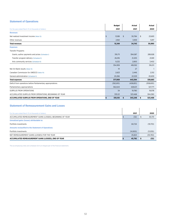# **Statement of Operations**

| <b>Statement of Operations</b>                              |               |               |               |
|-------------------------------------------------------------|---------------|---------------|---------------|
|                                                             | <b>Budget</b> | <b>Actual</b> | <b>Actual</b> |
| For the year ended March 31 (in thousands of dollars)       | 2021          | 2021          | 2020          |
| <b>Revenues</b>                                             |               |               |               |
| Net realized investment income (Note 12)                    | 13,189<br>\$  | \$<br>30,784  | 23,693<br>\$  |
| Other revenues                                              | 2,160         | 3,959         | 7,297         |
| <b>Total revenues</b>                                       | 15,349        | 34,743        | 30,990        |
| <b>Expenses</b>                                             |               |               |               |
| <b>Transfer Programs</b>                                    |               |               |               |
| Grants, author payments and prizes (Schedule I)             | 319,711       | 394,587       | 289,928       |
| Transfer program delivery (Schedule II)                     | 26,016        | 21,205        | 23,181        |
| Arts community services (Schedule III)                      | 9,232         | 2,800         | 3,402         |
|                                                             | 354,959       | 418,592       | 316,511       |
| Net Art Bank results (Note 13)                              | 111           | 27            |               |
| Canadian Commission for UNESCO (Note 14)                    | 2,623         | 2,446         | 2,512         |
| General administration (Schedule II)                        | 20,266        | 22,529        | 20,659        |
| <b>Total expenses</b>                                       | 377,959       | 443,594       | 339,683       |
| Deficit from operations before Parliamentary appropriations | (362, 610)    | (408, 851)    | (308, 693)    |
| Parliamentary appropriations                                | 362,644       | 428.631       | 327.771       |
| SURPLUS FROM OPERATIONS                                     | 34            | 19,780        | 19,078        |
| ACCUMULATED SURPLUS FROM OPERATIONS, BEGINNING OF YEAR      | 335,121       | 323,468       | 304,390       |
| ACCUMULATED SURPLUS FROM OPERATIONS, END OF YEAR            | 335,155       | 343,248<br>\$ | 323,468<br>\$ |

# **Statement of Remeasurement Gains and Losses**

| ololeinen vi Nemecsurement voins onu Evsses                 |          |           |
|-------------------------------------------------------------|----------|-----------|
|                                                             |          |           |
| For the year ended March 31 (in thousands of dollars)       | 2021     | 2020      |
| ACCUMULATED REMEASUREMENT GAINS (LOSSES), BEGINNING OF YEAR | (32)     | 30,731    |
| Unrealized gains (losses) attributable to:                  |          |           |
| Portfolio investments                                       | 60.724   | (19, 733) |
| <b>Amounts reclassified to the Statement of Operations:</b> |          |           |
| Portfolio investments                                       | (14,900) | (11,030)  |
| NET REMEASUREMENT GAINS (LOSSES) FOR THE YEAR               | 45.824   | (30,763)  |
| ACCUMULATED REMEASUREMENT GAINS (LOSSES), END OF YEAR       | 45,792   | (32)      |

The accompanying notes and schedules form an integral part of the financial statements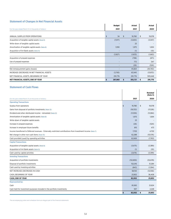#### **Statement of Changes in Net Financial Assets**

|                                                       | <b>Budget</b> | <b>Actual</b>            | <b>Actual</b> |
|-------------------------------------------------------|---------------|--------------------------|---------------|
| For the year ended March 31 (in thousands of dollars) | 2021          | 2021                     | 2020          |
|                                                       |               |                          |               |
| ANNUAL SURPLUS FROM OPERATIONS                        | 34<br>\$      | 19,780<br>$\mathfrak{S}$ | 19,078<br>\$  |
| Acquisition of tangible capital assets (Note 8)       | (7,017)       | (3,630)                  | (3,347)       |
| Write-down of tangible capital assets                 |               | 23                       |               |
| Amortization of tangible capital assets (Note 8)      | 3,190         | 1,975                    | 1,694         |
| Acquisition of Art Bank assets (Note 9)               |               | (1)                      | (10)          |
|                                                       | (3,827)       | (1,633)                  | (1,663)       |
| Acquisition of prepaid expenses                       |               | (798)                    | (871)         |
| Use of prepaid expenses                               |               | 772                      | 347           |
|                                                       |               | (26)                     | (524)         |
| Net remeasurement gains (losses)                      |               | 45,824                   | (30, 763)     |
| INCREASE (DECREASE) IN NET FINANCIAL ASSETS           | (3,793)       | 63,945                   | (13, 872)     |
| NET FINANCIAL ASSETS, BEGINNING OF YEAR               | 291,776       | 291,776                  | 305,648       |
| NET FINANCIAL ASSETS, END OF YEAR                     | 287,983<br>\$ | 355,721<br>S             | 291,776<br>\$ |

#### **Statement of Cash Flows**

|                                                                                                               |                        | Restated<br>(Note 3) |
|---------------------------------------------------------------------------------------------------------------|------------------------|----------------------|
| For the year ended March 31 (in thousands of dollars)                                                         | 2021                   | 2020                 |
| <b>Operating Transactions</b>                                                                                 |                        |                      |
| Surplus from operations                                                                                       | $\sqrt{2}$<br>19,780   | $\sqrt{2}$<br>19,078 |
| Gains from disposal of portfolio investments (Note 12)                                                        | (18, 332)              | (11, 526)            |
| Dividend and other distributed income - reinvested (Note 12)                                                  | (11, 559)              | (11,084)             |
| Amortization of tangible capital assets (Note 8)                                                              | 1,975                  | 1,694                |
| Write-down of tangible capital assets                                                                         | 23                     |                      |
| Increase in prepaid expenses                                                                                  | (26)                   | (524)                |
| Increase in employee future benefits                                                                          | 815                    | 473                  |
| Income transferred to Deferred revenues - Externally restricted contributions from investment income (Note 7) | 7,705                  | 4,702                |
| Net change in other non-cash items (Note 15)                                                                  | 62,288                 | (10, 576)            |
| Cash provided (used) by operating activities                                                                  | 62,669                 | (7,763)              |
| <b>Capital Transactions</b>                                                                                   |                        |                      |
| Acquisition of tangible capital assets (Note 8)                                                               | (3,675)                | (3,389)              |
| Acquisition of Art Bank assets (Note 9)                                                                       | (1)                    | (10)                 |
| Cash used by capital activities                                                                               | (3,676)                | (3,399)              |
| <b>Investing Transactions</b>                                                                                 |                        |                      |
| Acquisition of portfolio investments                                                                          | (152, 859)             | (32, 678)            |
| Disposal of portfolio investments                                                                             | 152,016                | 31,284               |
| Cash used by investing activities                                                                             | (843)                  | (1, 394)             |
| NET INCREASE (DECREASE) IN CASH                                                                               | 58,150                 | (12, 556)            |
| CASH, BEGINNING OF YEAR                                                                                       | 23,852                 | 36,408               |
| CASH, END OF YEAR                                                                                             | 82,002                 | 23,852               |
| <b>Represented by:</b>                                                                                        |                        |                      |
| Cash                                                                                                          | 81,065                 | 21.624               |
| Cash held for investment purposes included in the portfolio investments                                       | 937                    | 2,228                |
|                                                                                                               | $\mathbf{s}$<br>82,002 | \$<br>23,852         |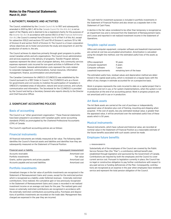#### **Notes to the Financial Statements March 31, 2021**

#### 1. AUTHORITY, MANDATE AND ACTIVITIES

The Council, established by the *Canada Council Act* in 1957 and subsequently amended in 2001 by Bill C-40 to the *Canada Council for the Arts Act*, is not an agent of Her Majesty and is deemed to be a registered charity for the purposes of the *Income Tax Act*. In accordance with section 85(1.1) of the *Financial Administration Act*, the Council is exempt from Divisions I to IV of Part X of this Act, except for subsection 105(2) and sections 113.1 and 119 of Division II, sections 131 to 148 of Division III and section 154.01 of Division IV. The Council is a Crown corporation whose objectives are to foster and promote the study and enjoyment of, and the production of works in, the arts.

The Council achieves its objectives primarily through grant programs to professional Canadian artists and arts organizations. The Council incurs administration and services expenses in the delivery of programs. Transfer Program delivery expenses represent the direct costs of program delivery. Arts community services expenses represent costs incurred for non-grant activities in fulfillment of the Council's mandate. General administration costs represent the costs related to corporate management, communications, human resources, information management, finance, accommodation and amortization.

The Canadian Commission for UNESCO (CCUNESCO) was established by the Council pursuant to a 1957 Order in Council. The CCUNESCO acts as a forum for governments and civil society to mobilize the participation of Canadians in UNESCO's mandated areas of education, natural and social sciences, and culture, communication and information. The Secretariat for the CCUNESCO is provided by the Council and led by a Secretary General who reports directly to the Director and Chief Executive Officer.

#### 2. SIGNIFICANT ACCOUNTING POLICIES

#### Basis of accounting

The Council is an "other government organization." These financial statements have been prepared in accordance with Canadian public sector accounting standards (PSAS) as promulgated by the Chartered Professional Accountants (CPA) of Canada.

The Council's significant accounting policies are as follows:

# Financial instruments

All financial instruments are initially measured at fair value. The following table identifies the Council's financial assets and liabilities and identifies how they are subsequently measured on the Statement of Financial Position:

| <b>Financial asset or liability</b>        | Subsequent measurement |
|--------------------------------------------|------------------------|
| Accounts receivable                        | Amortized cost         |
| Portfolio investments                      | Fair value             |
| Grants, author payments and prizes payable | Amortized cost         |
| Accounts payable and accrued liabilities   | Amortized cost         |

#### Portfolio investments

Unrealized changes in the fair value of portfolio investments are recognized in the Statement of Remeasurement Gains and Losses, except for the restricted portion which is recognized as a liability under Deferred revenues - Externally restricted contributions. Once realized, the cumulative gain or loss previously recognized in the Statement of Remeasurement Gains and Losses is recorded in net realized investment income on an average cost basis for the year. The realized gains and losses on externally restricted contributions are recognized in accordance with the externally restricted contributions accounting policy. Purchases and dispositions of portfolio investments are recorded on the trade date. Management fees charged are expensed in the year they are incurred.

The cash held for investment purposes is included in portfolio investments in the Statement of Financial Position and also shown as a separate item in the Statement of Cash Flows.

A decline in the fair value considered to be other than temporary is recognized as an impairment loss and is removed from the Statement of Remeasurement Gains and Losses and reported in net realized investment income in the Statement of Operations.

#### Tangible capital assets

Office and computer equipment, computer software and leasehold improvements are carried at cost less accumulated amortization. Amortization is calculated using the straight-line method, over the estimated useful lives of the assets as follows:

| Office equipment       | 10 years                    |
|------------------------|-----------------------------|
| Computer equipment     | 4 years                     |
| Computer software      | 7 years                     |
| Leasehold improvements | remaining term of the lease |

The estimated useful lives, residual values and depreciation method are determined in the capital asset policy, which is reviewed on a regular basis with the effect of any changes in estimate accounted for on a prospective basis.

Work in progress represents the costs incurred to date on a capital project that is incomplete and not in use, or for system implementations, when the system is not in production at the end of an accounting period. Work in progress projects are not amortized until in use or in production.

#### Art Bank assets

The Art Bank assets are carried at the cost of purchase or independently appraised value of donation plus cost of framing, mounting and shipping when acquired. If the cost of assets, less any estimated residual value, is greater than the appraised value, it will be amortized over the estimated useful lives of these assets which is 50 years.

#### Musical instruments

Musical instruments, which have cultural and historical value, are recorded at nominal value in the Statement of Financial Position as a reasonable estimate of the future benefits associated with such assets cannot be made.

#### Employee future benefits

#### i) PENSION BENEFITS

Substantially all of the employees of the Council are covered by the Public Service Pension Plan (the "Plan"), a contributory defined benefit plan established through legislation and sponsored by the Government of Canada. Contributions are required by both the employees and the Council to cover current service cost. Pursuant to legislation currently in place, the Council has no legal or constructive obligation to pay further contributions with respect to any past service or funding deficiencies of the Plan. Consequently, contributions are recognized as an expense in the year when employees have rendered service and represent the total pension obligation of the Council.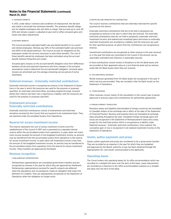#### ii) SEVERANCE BENEFITS

In 2012, under labour contracts and conditions of employment, the decision was made to terminate the severance benefits. The severance benefit obligation for eligible employees who will retire or resign, that accrued up to June 30, 2012 and remains unpaid, is adjusted at year end to reflect actuarial gains and losses and salary adjustments.

#### iii) RETIREES' BENEFITS

The Council provides extended health care and dental benefits to its current and retired employees. Retirees pay 50% of the extended health care premium and 100% of the dental premium. The Council accrues its obligations as the employees render the services necessary to earn these benefits. The cost of these benefits earned by employees has been estimated using the accrued benefit method (Projected unit credit).

Actuarial gains (losses) on the accrued benefit obligation arise from differences between actual and expected experience and from changes in the actuarial assumptions used to determine the accrued benefit obligation. Actuarial gains (losses) are amortized over the average remaining service period of active employees.

#### Deferred revenues - Externally restricted contributions

Externally restricted income is recognized as revenue in the Statement of Operations in the year in which the resources are used for the purpose or purposes specified. An externally restricted inflow, excluding original principal, received before this criterion has been met is reported as a liability until the resources are used for the purpose or purposes specified.

#### Endowment principal - Externally restricted contributions

Externally restricted contributions consist of endowments and restricted donations received by the Council that are required to be maintained intact. They are reported under Accumulated Surplus from Operations.

#### Reserve for excess investment income

This reserve represents the sum of excess investment income since the establishment of the Council in 1957 and is presented as a separate internal reserve within the accumulated surplus from operations. In years when net investment income exceeds the amount of net budgeted investment income, an amount may be transferred from the accumulated surplus from operations to the reserve for excess investment income. In years when net investment income is less than the amount of net budgeted investment income, an amount may be transferred to the accumulated surplus from operations from the reserve for excess investment income. These transfers are approved by the Board.

#### Revenue recognition

#### i) PARLIAMENTARY APPROPRIATIONS

Parliamentary appropriations are considered government transfers and are recognized as revenue in the year for which they are approved by Parliament. Parliamentary appropriations received for specific projects are deferred when the stipulations and circumstances create an obligation that meets the definition of a liability. They are subsequently recognized on the Statement of Operations when the obligation no longer exists.

#### ii) RESTRICTED AND UNRESTRICTED CONTRIBUTIONS

The Council receives contributions that are externally restricted for specific purposes by the donors.

Externally restricted contributions that are to be held in perpetuity are recognized as revenue in the year in which they are received. The externally restricted contributions that are not held in perpetuity, externally restricted investment income, and realized and unrealized gains and losses on externally restricted investments are recorded as a liability until the resources are used for their specified purpose, at which time the contributions are recognized as revenue.

Unrestricted contributions are recognized as other revenue in the year received or in the year the funds are committed to the Council if the amount can be reasonably estimated and collection is reasonably assured.

In-kind contributions consist mostly of donations to the Art Bank assets and are recorded at their appraised value as a non-financial asset and as revenue under Net Art Bank results when they are received.

#### iii) ART BANK RENTAL REVENUES

Rental revenues generated from Art Bank assets are recognized in the year in which services are provided. They are included in Net Art Bank results on the Statement of Operations.

#### iv) OTHER REVENUES

Other revenues consist mainly of the cancellation in the current year of grants approved in previous years and contributions for partnership agreements.

#### v) FOREIGN CURRENCY TRANSLATION

Monetary assets and liabilities denominated in foreign currencies are translated to Canadian dollars at the exchange rate in effect at the date of the Statement of Financial Position. Revenue and expense items are translated at exchange rates prevailing throughout the year. Unrealized foreign exchange gains and losses are recognized in the Statement of Remeasurement Gains and Losses, except for the restricted portion which is recognized as a liability under Deferred revenues - Externally restricted contributions. Once realized, the cumulative gain or loss is recognized in net realized investment income on the Statement of Operations.

#### Grants, author payments and prizes

Grants, author payments and prizes are considered to be a government transfer. They are recorded as an expense in the year for which they are budgeted and approved by the Board, authority to pay has been obtained through the *Appropriation Act*, and results communicated to the applicants.

#### Operating leases

The Council enters into operating leases for its office accommodation which are recorded on a straight-line basis over the term of the lease. Lease inducements are recorded as a reduction to the office accommodation expense on a straightline basis over the term of the lease.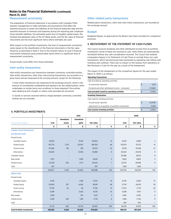#### Measurement uncertainty

The preparation of financial statements in accordance with Canadian PSAS requires management to make estimates and assumptions that affect the reported amounts of assets and liabilities at the financial statement date and the reported amounts of revenues and expenses during the reporting year. Employee future benefits liabilities, the estimated useful lives of tangible capital assets, the residual and appraised value of the Art Bank assets, and the fair value of financial instruments are the most significant items where estimates are used.

With respect to the portfolio investments, the level of measurement uncertainty varies based on the classification of the financial instruments in the fair value hierarchy as described in Note 5. Due to the inherent nature of Level 3 financial instruments measured using unobservable inputs there is a significant level of measurement uncertainty.

Actual results could differ from those estimated.

#### Inter-entity transactions

Inter-entity transactions are transactions between commonly controlled entities. Inter-entity transactions, other than restructuring transactions, are recorded on a gross basis and are measured at the carrying amount, except for the following:

i) Inter-entity transactions are measured at the exchange amount, which is the amount of consideration established and agreed to by the related parties, when undertaken on similar terms and conditions to those adopted if the entities were dealing at arm's length, or where costs provided are recovered.

ii) Goods or services received without charge between commonly controlled entities are not recorded.

#### Other related party transactions

Related party transactions, other than inter-entity transactions, are recorded at the exchange amount.

#### Budget

Budgeted figures, as approved by the Board, have been provided for comparison purposes.

#### 3. RESTATEMENT OF THE STATEMENT OF CASH FLOWS

The Council receives dividends and other distributed income from its portfolio investments. Some of these are received as cash, while others are automatically reinvested without any cash consideration received. The Council has restated comparative figures in its Statement of Cash Flows to exclude those non-cash transactions, which had previously been presented as operating cash inflows and investing cash outflows. There was no impact on the Surplus from operations or Net Decrease in Cash for the year as a result of the restatement.

The impact of the restatement on the compartive figures for the year ended March 31, 2020 is as follows:

| <b>Operating Transactions:</b>                       |                           |           |  |
|------------------------------------------------------|---------------------------|-----------|--|
| Cash provided by operating activities                | (in thousands of dollars) |           |  |
| - As previsouly reported                             | \$                        | 3.321     |  |
| - Dividend and other distributed income - reinvested |                           | (11,084)  |  |
| Cash provided (used) by operating activities         | \$                        | (7,763)   |  |
| <b>Investing Transactions:</b>                       |                           |           |  |
| Cash used by investing activities                    |                           |           |  |
| - As previsouly reported                             | \$                        | (12, 478) |  |
| - Adjustment to Acquisition of portfolio investments |                           | 11.084    |  |
| Cash used by investing activities                    | \$                        | (1.394)   |  |

| <b>4. PORTFOLIO INVESTMENTS</b>    |         |                          |                          |                   |                          |         |                   |                |
|------------------------------------|---------|--------------------------|--------------------------|-------------------|--------------------------|---------|-------------------|----------------|
|                                    |         |                          | 2021                     |                   |                          |         | 2020              |                |
|                                    |         | <b>Unrealized</b>        | <b>Unrealized</b>        |                   |                          |         |                   |                |
| (in thousands of dollars)          | Cost    | losses                   | gains                    | <b>Fair value</b> |                          | Cost    | <b>Fair value</b> |                |
|                                    | \$      | \$                       | \$                       | \$                | %                        | \$      | \$                | %              |
| <b>Canada Council Endowment</b>    |         |                          |                          |                   |                          |         |                   |                |
| and Special Funds                  |         |                          |                          |                   |                          |         |                   |                |
| Pooled funds                       |         |                          |                          |                   |                          |         |                   |                |
| Canadian Equity                    | 43,853  |                          | 13,051                   | 56,904            | 14                       | 8,205   | 6,896             | 2              |
| <b>Global Equity</b>               | 163,732 | 1,724                    | 20,047                   | 182,055           | 46                       | 139,975 | 131,213           | 41             |
| Fixed income                       | 87,460  | 126                      | 189                      | 87,523            | 22                       | 87,118  | 87,258            | 27             |
| Alternatives                       | 20,630  | $\overline{\phantom{a}}$ | 13,356                   | 33,986            | 9                        | 20,630  | 29,259            | 9              |
| Canadian Equity                    |         |                          | $\overline{\phantom{a}}$ |                   | $\overline{\phantom{a}}$ | 35,086  | 28,122            | 9              |
| Real estate                        | 7,557   |                          | 1,083                    | 8,640             | $\overline{2}$           | 7,660   | 9,802             | 3              |
| Infrastructure                     | 22,708  | 942                      | 5,177                    | 26,943            | $\overline{7}$           | 23,537  | 29,958            | 9              |
| Cash                               | 937     |                          | $\overline{\phantom{a}}$ | 937               |                          | 1,583   | 1,583             |                |
|                                    | 346,877 | 2,792                    | 52,903                   | 396,988           | 100                      | 323,794 | 324,091           | 100            |
| <b>Killam Fund</b>                 |         |                          |                          |                   |                          |         |                   |                |
| Pooled funds                       |         |                          |                          |                   |                          |         |                   |                |
| Canadian Equity                    | 9,419   | $\overline{\phantom{a}}$ | 1,786                    | 11,205            | 14                       | 8,795   | 6,959             | 10             |
| <b>Global Equity</b>               | 34,500  | 357                      | 4,040                    | 38,183            | 46                       | 27,741  | 26,001            | 39             |
| Fixed income                       | 17,790  | 43                       | 48                       | 17,795            | 21                       | 17,704  | 17,715            | 26             |
| Alternatives                       | 5,298   | $\overline{\phantom{a}}$ | 3,422                    | 8,720             | 10 <sup>°</sup>          | 5,298   | 7,507             | 11             |
| Real estate                        | 1,939   | $\overline{\phantom{a}}$ | 274                      | 2,213             | 3                        | 1,965   | 2,530             | $\overline{4}$ |
| Infrastructure                     | 3,769   | 236                      | 1,183                    | 4,716             | 6                        | 4,168   | 5,752             | 9              |
| Cash                               |         |                          |                          |                   | $\overline{a}$           | 645     | 645               | $\mathbf{1}$   |
|                                    | 72,715  | 636                      | 10,753                   | 82,832            | 100                      | 66,316  | 67,109            | 100            |
| <b>Total Portfolio investments</b> | 419,592 | 3,428                    | 63,656                   | 479,820           |                          | 390,110 | 391,200           |                |

# $\frac{1}{2}$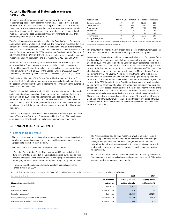Unrealized gains/losses on investments are primarily due to the timing of the market prices, foreign exchange movements, or the early years in the business cycle for some investments. Annually, the Council assesses each of its investment instruments against specific criteria to determine whether there is objective evidence that the adjusted cost may not be recovered and is therefore impaired. The Council does not consider these investments to be other-thantemporarily impaired as at March 31, 2021.

The Council manages two separate portfolios, the Canada Council Endowment and Special Funds as well as the Killam Fund. The Killam's will requested that their donation be invested separately. Apart from the Killam Fund, all other externally restricted contributions are consolidated into the Canada Council Endowment and Special Funds and represent 8% (2020 - 8%) of that Fund with a total fair value of \$31,799,000 (2020 - \$25,960,000). The total fair value of the externally restricted investment including the Killam Fund is \$114,631,000 (2020 - \$93,069,000).

All transactions for the externally restricted contributions are initially paid by or received in the Council's general bank account thus creating temporary interfund balances. The interfund balance of externally restricted contributions owed to Council at March 31, 2021 by the Special Funds is \$4,083,000 (2020 - \$4,058,000) and owed by the Killam Fund is \$2,606,000 (2020 - \$3,187,000).

The long-term objectives of the Canada Council Endowment and Special Funds as well as the Killam Fund are to generate long-term real returns to supplement the costs of administering the various programs, while maintaining the purchasing power of the endowed capital.

The Council invests in units of equity, fixed income and alternative pooled funds, and in limited partnership units of three real estate funds and six infrastructure funds (March 31, 2020 - also into a segregated Canadian equity fund). The permitted and prohibited investments, the asset mix as well as some maximum holding quantity restrictions are governed by a Board approved investment policy to mitigate risk. All of the investments are managed by professional investment managers.

The Council manages its portfolio to the following benchmarks as per the *Statement of Investment Policies and Goals* approved by the Board. The benchmarks allow asset class allocations to vary between a minimum and a maximum.

#### 5. FINANCIAL RISKS AND FAIR VALUE

#### a) Establishing fair value

The carrying value of accounts receivable, grants, author payments and prizes payable and accounts payable and accrued liabilities approximates their fair values due to their short-term maturity.

The fair values of the investments are determined as follows:

- Canadian Equity, Global Equity, Fixed Income, and Money Market pooled fund investments are valued at the unit values supplied by the pooled fund external managers, which represent the Council's proportionate share of the underlying net assets at fair values, determined using closing market prices.
- The segregated Canadian equity fund was valued using closing market prices at March 31, 2020.

| <b>Asset Classes</b> | <b>Market Value</b> | Minimum | <b>Benchmark</b> | Maximum |
|----------------------|---------------------|---------|------------------|---------|
| Canadian equities    | 14%                 | 5%      | 12.5%            | 20%     |
| Global equities      | 46%                 | 35%     | 40%              | 45%     |
| Fixed income         | 22%                 | 15%     | 25%              | 35%     |
| Alternatives         | 9%                  | 0%      | 10%              | 15%     |
| Real estate          | 2%                  | 0%      | 5%               | 10%     |
| Infrastructure       | 7%                  | 0%      | 7.5%             | 10%     |
| Money market/Cash    | 0%                  | 0%      | 0%               | 10%     |
|                      |                     |         |                  |         |

<sup>1</sup> The *Statement of Investment Policies and Goals* indicates that any allocations outside the ranges shall be rebalanced towards the mid-point of the range within six months of the quarter end.

The amounts in the money market or cash asset classes are for future investments or to fund capital calls on commitments already approved and signed.

Investments in the equity pooled funds are comprised of units of six pooled funds, two Canadian funds and four funds that are invested in the global equity markets (March 31, 2020 - the Council also had a Canadian equity segregated fund for the Endowment and Special Funds). The Canadian equities are measured against the returns of the Standard and Poor's Toronto Stock Exchange (S&P/TSX) Index. The global equities are measured against the returns of the Morgan Stanley Capital International (MSCI) All Country World Index. Investments in the fixed income pooled funds are comprised of a mix of bonds, mortgages, emerging debt and other fixed income instruments. The fixed income funds are measured against the returns of the FTSE Canada Universe Bond Index. Investments in the alternative pooled funds are comprised of units of one hedge fund with diversified positions across global asset classes. This investment is measured against the returns of the FTSE Canada 91-day T-bill plus 4%. The assets included in the real estate funds are commercial real estate properties in Canada, the United States and globally. These investments are measured against the returns of the Investment Property Databank. The infrastructure funds include six portfolios of diversified infrastructure investments. These investments are measured against the Consumer Price Index (CPI) plus 4.5%.

- The Alternatives is a pooled fund investment which is valued at the unit values supplied by the external pooled fund manager. The fund manager manages multiple funds with different strategies within the fund and determines the unit's fair value predominantly using valuation models with unobservable inputs and for smaller portions using closing market prices when available.
- Real Estate and Infrastructure investment values are supplied by the external fund managers using internally determined appraisals as at March 31 based on valuation models with unobservable inputs.

At March 31, the measurement categories of the Council's financial instruments, as well as their carrying amounts and fair values are as follows:

| (in thousands of dollars)                  |                | 2021                   | 2020                   |
|--------------------------------------------|----------------|------------------------|------------------------|
|                                            | Measurement    | <b>Carrying amount</b> | <b>Carrying amount</b> |
| <b>Financial assets and liabilities</b>    | categories     | and fair value (\$)    | and fair value (\$)    |
| Cash                                       | Fair value     | 81,065                 | 21,624                 |
| Accounts receivable                        | Amortized cost | 2,925                  | 3,347                  |
| Portfolio Investments <sup>1</sup>         | Fair value     | 479,820                | 391,200                |
| Grants, author payments and prizes payable | Amortized cost | 119,590                | 58,070                 |
| Accounts payable and accrued liabilities   | Amortized cost | 5,565                  | 5,128                  |

<sup>1</sup> The detailed fair value for the portfolio investments is listed in Note 4.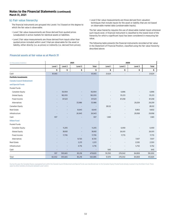#### b) Fair value hierarchy

 $\overline{a}$ 

The financial instruments are grouped into Levels 1 to 3 based on the degree to which the fair value is observable:

- Level 1 fair value measurements are those derived from quoted prices (unadjusted) in active markets for identical assets or liabilities.
- Level 2 fair value measurements are those derived from inputs other than quoted prices included within Level 1 that are observable for the asset or liability, either directly (i.e. as prices) or indirectly (i.e. derived from prices).
- Level 3 fair value measurements are those derived from valuation techniques that include inputs for the asset or liability that are not based on observable market data (unobservable inputs).

The fair value hierarchy requires the use of observable market inputs whenever such inputs exist. A financial instrument is classified to the lowest level of the hierarchy for which a significant input has been considered in measuring fair value.

The following table presents the financial instruments recorded at fair value in the Statement of Financial Position, classified using the fair value hierarchy described above:

 $\mathbf{I}$ 

| (in thousands of dollars)       |                          |                          | 2021                     |                          |         | 2020                     |                          |              |
|---------------------------------|--------------------------|--------------------------|--------------------------|--------------------------|---------|--------------------------|--------------------------|--------------|
|                                 | Level 1                  | Level 2                  | Level 3                  | <b>Total</b>             | Level 1 | Level 2                  | Level 3                  | <b>Total</b> |
|                                 | \$                       | \$                       | \$                       | \$                       | \$      | \$                       | \$                       | \$           |
| Cash                            | 81,065                   | $\overline{\phantom{a}}$ | $\overline{\phantom{a}}$ | 81,065                   | 21,624  | $\overline{\phantom{a}}$ | $\overline{\phantom{a}}$ | 21,624       |
| <b>Portfolio Investments</b>    |                          |                          |                          |                          |         |                          |                          |              |
| <b>Canada Council Endowment</b> |                          |                          |                          |                          |         |                          |                          |              |
| and Special Funds               |                          |                          |                          |                          |         |                          |                          |              |
| Pooled Funds                    |                          |                          |                          |                          |         |                          |                          |              |
| Canadian Equity                 |                          | 56,904                   |                          | 56,904                   |         | 6,896                    |                          | 6,896        |
| <b>Global Equity</b>            |                          | 182,055                  |                          | 182,055                  |         | 131,213                  |                          | 131,213      |
| Fixed Income                    |                          | 87,523                   | $\overline{\phantom{a}}$ | 87,523                   |         | 87,258                   |                          | 87,258       |
| Alternatives                    |                          | ٠                        | 33,986                   | 33,986                   |         | $\overline{\phantom{a}}$ | 29,259                   | 29,259       |
| Canadian Equity                 |                          |                          |                          | $\overline{\phantom{a}}$ | 28,122  | $\overline{\phantom{a}}$ | $\overline{\phantom{a}}$ | 28,122       |
| Real Estate                     |                          | $\overline{\phantom{0}}$ | 8,640                    | 8,640                    |         | $\overline{a}$           | 9,802                    | 9,802        |
| Infrastructure                  |                          |                          | 26,943                   | 26,943                   |         | $\overline{a}$           | 29,958                   | 29,958       |
| Cash                            | 937                      |                          |                          | 937                      | 1,583   |                          |                          | 1,583        |
| <b>Killam Fund</b>              |                          |                          |                          |                          |         |                          |                          |              |
| Pooled Funds                    |                          |                          |                          |                          |         |                          |                          |              |
| Canadian Equity                 | $\overline{\phantom{a}}$ | 11,205                   |                          | 11,205                   |         | 6,959                    |                          | 6,959        |
| <b>Global Equity</b>            |                          | 38,183                   |                          | 38,183                   |         | 26,001                   |                          | 26,001       |
| Fixed Income                    |                          | 17,795                   |                          | 17,795                   |         | 17,715                   |                          | 17,715       |
| Alternatives                    |                          |                          | 8,720                    | 8,720                    |         | $\overline{\phantom{a}}$ | 7,507                    | 7,507        |
| Real Estate                     |                          |                          | 2,213                    | 2,213                    |         | $\overline{\phantom{a}}$ | 2,530                    | 2,530        |
| Infrastructure                  |                          |                          | 4,716                    | 4,716                    |         | $\overline{\phantom{0}}$ | 5,752                    | 5,752        |
| Cash                            |                          |                          | $\overline{\phantom{a}}$ | $\overline{\phantom{a}}$ | 645     | $\overline{\phantom{a}}$ | $\overline{\phantom{a}}$ | 645          |
|                                 | 937                      | 393,665                  | 85,218                   | 479,820                  | 30,350  | 276,042                  | 84,808                   | 391,200      |
| Total                           | 82,002                   | 393,665                  | 85,218                   | 560,885                  | 51,974  | 276,042                  | 84,808                   | 412,824      |

# **Financial assets at fair value as at March 31**

During the year, the Canadian Equity segregated fund within the Canada Council Endowment and Special Funds was transferred over to the Canadian Equity Pooled funds already invested in by the Killam Fund. There<br>were no othe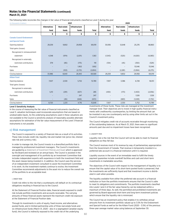The following table reconciles the changes in fair value of financial instruments classified as Level 3 during the year:

| (in thousands of dollars)       |                          |                          | 2021           |              | 2020                     |                          |                |              |
|---------------------------------|--------------------------|--------------------------|----------------|--------------|--------------------------|--------------------------|----------------|--------------|
|                                 | <b>Alternatives</b>      | <b>Real estate</b>       | Infrastructure |              | <b>Alternatives</b>      | <b>Real estate</b>       | Infrastructure |              |
|                                 | fund                     | funds                    | funds          | <b>Total</b> | fund                     | funds                    | funds          | <b>Total</b> |
|                                 | \$                       | \$                       | \$             | \$           | \$                       | \$                       | \$             | \$           |
| <b>Canada Council Endowment</b> |                          |                          |                |              |                          |                          |                |              |
| and Special Funds               |                          |                          |                |              |                          |                          |                |              |
| Opening balance                 | 29,259                   | 9,802                    | 29,958         | 69,019       | 30,936                   | 12,648                   | 25,276         | 68,860       |
| Total gains (losses)            |                          |                          |                |              |                          |                          |                |              |
| Recognized in remeasurement     |                          |                          |                |              |                          |                          |                |              |
| statement                       | 4,348                    | (974)                    | (2,011)        | 1,363        | (1, 543)                 | (520)                    | (4,020)        | (6,083)      |
| Recognized in externally        |                          |                          |                |              |                          |                          |                |              |
| restricted contributions        | 379                      | (85)                     | (175)          | 119          | (134)                    | (45)                     | (350)          | (529)        |
| Purchases                       |                          |                          | 1,902          | 1,902        |                          | $\overline{\phantom{a}}$ | 13,046         | 13,046       |
| Sales                           | $\overline{\phantom{a}}$ | (103)                    | (2,731)        | (2,834)      | $\overline{\phantom{a}}$ | (2, 281)                 | (3,994)        | (6,275)      |
| Closing balance                 | 33,986                   | 8,640                    | 26,943         | 69,569       | 29,259                   | 9,802                    | 29,958         | 69,019       |
| <b>Killam Fund</b>              |                          |                          |                |              |                          |                          |                |              |
| Opening balance                 | 7,507                    | 2,530                    | 5,752          | 15,789       | 7,937                    | 3,386                    | 6,728          | 18,051       |
| Total gains (losses)            |                          |                          |                |              |                          |                          |                |              |
| Recognized in externally        |                          |                          |                |              |                          |                          |                |              |
| restricted contributions        | 1,213                    | (291)                    | (637)          | 285          | (430)                    | (173)                    | (1, 453)       | (2,056)      |
| Purchases                       | $\overline{\phantom{a}}$ | $\overline{\phantom{a}}$ | 247            | 247          | $\overline{\phantom{a}}$ | $\overline{\phantom{a}}$ | 1,526          | 1,526        |
| Sales                           | $\overline{\phantom{a}}$ | (26)                     | (646)          | (672)        | $\overline{\phantom{a}}$ | (683)                    | (1,049)        | (1,732)      |
| Closing balance                 | 8,720                    | 2,213                    | 4,716          | 15,649       | 7,507                    | 2,530                    | 5,752          | 15,789       |

#### Level 3 Sensitivity Analysis

In the course of measuring the fair value of financial instruments classified as Level 3, valuation techniques used incorporate assumptions that are based on unobservable inputs. As the underlying assumptions used in these valuations are not available to the Council a sensitivity analysis of reasonably possible alternate assumptions for estimation of the fair value measurement of the Level 3 financial instruments is not possible.

#### c) Risk management

The Council is exposed to a variety of financial risks as a result of its activities. These risks include credit risk, liquidity risk and market risk (price risk, interest rate risk and currency risk).

In order to manage risk, the Council invests in a diversified portfolio that is managed by professional investment managers. The Council's investments are guided by a *Statement of Investment Policies and Goals* which is approved by the Board and reviewed on an annual basis. The Council is assisted in the oversight and management of its portfolio by an Investment Committee that includes independent experts with experience in both the investment field and the asset classes being invested in. In addition, the Council uses the services of an independent investment consultant to assist the Investment Committee in its work. As the investment markets continue to evolve, the Investment Committee recommends adjustments to the asset mix to reduce the overall risk of the portfolio to an acceptable level.

#### i. CREDIT RISK

Credit risk refers to the risk that a counterparty will default on its contractual obligations resulting in financial loss to the Council.

At the Statement of Financial Position date, financial assets exposed to credit risk include portfolio investments and accounts receivable. The carrying amounts of these financial assets represent the maximum credit risk exposure at the Statement of Financial Position date.

Through its investments in units of equity, fixed income, and alternatives pooled funds, and in limited partnership units of three real estate funds and six infrastructure funds (March 31, 2020 - also in a segregated Canadian equity fund), the Council is indirectly exposed to the credit risk of the underlying

investments of those funds. These risks are managed at the investment manager level. Their objectives are to invest in high quality financial instruments with creditworthy counterparties, by limiting the amount that can be invested in any one counterparty and by using other limits set out in the Council's investment policy.

The Council mitigates credit risk of accounts receivable through monitoring of the outstanding balances. As at March 31, 2021, there were no significant amounts past due and no impairment losses have been recognized.

#### ii. LIQUIDITY RISK

Liquidity risk is the risk that the Council will not be able to meet its financial obligations as they fall due.

The Council receives most of its revenue by way of parliamentary appropriation from the Government of Canada. That revenue is temporarily invested in a preferred rate account in a financial institution until it is required.

Liquidity sources in the event of an immediate need to fulfill the timely payment guarantee include overdraft facilities and cash and short-term investments in marketable securities.

The objectives of the Council with respect to the management of liquidity is to ensure that the capital value of its short-term pooled funds is preserved, that the investments are sufficiently liquid and that investment income is distributed in cash when possible.

The liquidity available from either the preferred rate account in a financial institution or from the portfolio investments ensures that the Council is able to meet its obligations and commitments. The portfolio investments classified into Levels 1 and 2 of the fair value hierarchy can be redeemed within a maximum of three days. As well, the permitted and prohibited investments are governed by Board-approved short-term and long-term investment policies which ensure that the liquidity risk is minimized.

The Council has an investment policy that enables it to withdraw annual amounts from its investment portfolio valued up to 3.5% for the Endowment and Special Funds as well as for the Killam Fund (2020 - 3.5%) of the previous three-year average market value using balances at September 30.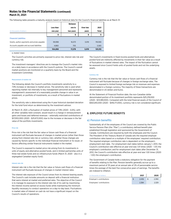The following table presents a maturity analysis based on historical data for the Council's financial liabilities as at March 31:

|                                            |           | <b>Between</b> |          |         |
|--------------------------------------------|-----------|----------------|----------|---------|
|                                            | Less than | one to         | Over two | 2021    |
| (in thousands of dollars)                  | one year  | two years      | years    | Total   |
|                                            |           | \$             | \$       |         |
| <b>Financial Liabilities</b>               |           |                |          |         |
| Grants, author payments and prizes payable | 99.998    | 16.573         | 3.019    | 119,590 |
| Accounts payable and accrued liabilities   | 4.860     | 705            |          | 5,565   |
|                                            | 104,858   | 17,278         | 3,019    | 125,155 |

#### iii. MARKET RISKS

The Council's activities are primarily exposed to price risk, interest rate risk and currency risk.

The investment managers' directives are to manage the Council's market risks on a daily basis in accordance with the Council's policies. The Council's overall market positions are monitored on a quarterly basis by the Board and the Investment Committee.

#### Measurement of market risk

The following details the Council's portfolio investments sensitivity to a 7.9% increase or decrease in market prices. The sensitivity rate is used when reporting market risk internally to key management personnel and represents management's assessment of a reasonably possible change in value in an investment, or portfolio of investments, as a result of fluctuations in market prices.

The sensitivity rate is determined using the 4-year historical standard deviation for the total fund return as determined by the investment advisor.

At March 31, 2021, a fluctuation of market prices of 7.9% (2020 - 6.6%), with all other variables held constant, would result in a change in remeasurement gains and losses and deferred revenues – externally restricted contributions of \$37,832,000 (2020 - \$25,672,000) due to the increase or decrease in the fair value of the portfolio investments.

#### Price risk

Price risk is the risk that the fair value or future cash flows of a financial instrument will fluctuate because of changes in market prices (other than those arising from interest rate risk or currency risk), whether those changes are caused by factors specific to the individual financial instrument or its issuer, or factors affecting similar financial instruments traded in the market.

The Council is exposed to market price risk arising from its investments in units of equity and alternative pooled funds, and in limited partnership units of three real estate funds and six infrastructure funds (March 31, 2020 - also in a segregated Canadian equity fund).

#### Interest rate risk

Interest rate risk is the risk that the fair value or future cash flows of a financial instrument will fluctuate because of changes in market interest rates.

The interest rate exposure of the Council arises from its interest bearing assets. The Council's cash includes amounts on deposit with a financial institution that earns interest at market and preferred rates. The objective of the Council is to manage its exposure to the interest rate risk of its cash by maximizing the interest income earned on excess funds while maintaining the minimum liquidity necessary to conduct operations on a day-to-day basis. Fluctuations in market rates of interest on cash do not have a significant impact on the Council's results of operations.

The Council's investments in fixed income pooled funds and alternatives pooled fund are indirectly affected by movements in their fair value as a result of fluctuations in market interest rates. The impact of the fluctuation cannot be assessed since Council holds units of pooled funds and not the underlying assets.

#### Currency risk

Currency risk is the risk that the fair value or future cash flows of a financial instrument will fluctuate because of changes in foreign exchange rates. The Council is exposed to limited foreign exchange risk on revenues and expenses denominated in a foreign currency. The majority of these transactions are denominated in US dollars and Euros.

At the Statement of Financial Position date, the non-Canadian dollar denominated portion of its investment portfolio represents \$25,219,000 (2020 - \$33,189,000). Compared with the total financial assets of the Council of \$563,810,000 (2020 - \$416,171,000), currency risk is not considered significant.

#### 6. EMPLOYEE FUTURE BENEFITS

#### a) Pension benefits

Substantially all of the employees of the Council are covered by the Public Service Pension Plan (the "Plan"), a contributory defined benefit plan established through legislation and sponsored by the Government of Canada. Contributions are required by both the employees and the Council. The President of the Treasury Board of Canada sets the required employer contribution rates based on a multiple of the employees' required contribution. The required employer contribution rate is dependent on the employee's employment start date. For employment start dates before January 1, 2013, the Council's contribution rate effective at year-end was 1.01 times (2020 - 1.01) the employee's contribution; and for employment start dates after December 31, 2012, the Council's contribution rate effective at year-end was 1.00 times (2020 - 1.00) the employee's contribution.

The Government of Canada holds a statutory obligation for the payment of benefits relating to the Plan. Pension benefits generally accrue up to a maximum period of 35 years at an annual rate of 2% of pensionable service times the average of the best five consecutive years of earnings. The benefits are indexed to inflation.

| (in thousands of dollars) | 2021  | 2020  |
|---------------------------|-------|-------|
| Employer's contributions  | 2.436 | 2.390 |
| Employees' contributions  | 2.384 | 2.329 |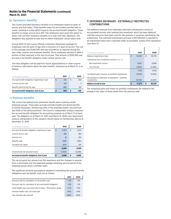#### b) Severance benefits

The Council provided severance benefits to its employees based on years of service and final salary. These benefits were not pre-funded and thus had no assets, resulting in a plan deficit equal to the accrued benefit obligation. These benefits no longer accrue since 2011. The employees were given the option to either cash out their severance benefits or to wait until their departure. The obligation was adjusted at year-end to reflect employees' actual salary level.

During 2020-21, the Council offered a Voluntary Retirement package for employees over 60 years of age with a minimum of 2 years of service. The cost of this package was \$1,661,000 and was recorded as an expense during the year under salaries and employee benefits. Some employees elected to defer a portion of their payment to the next fiscal year. That amount of \$292,400 was accrued in the benefit obligation under current service cost.

The total obligation will be paid from future appropriations or other sources of revenue. Information about the plan benefits, measured as at March 31, is as follows:

| (in thousands of dollars)                     | 2021 | 2020 |
|-----------------------------------------------|------|------|
| Accrued benefit obligation, beginning of year | 255  | 256  |
| Current service cost                          | 293  |      |
| Benefits paid during the year                 | (88) | (8)  |
| Accrued benefit obligation, end of year       | 460  | 255  |

#### c) Retirees benefits

The Council has defined post-retirement benefit plans covering certain employee groups. These plans provide extended health and dental benefits to retired employees. Retirees pay 50% of the extended health care premium and 100% of the dental premium. The Council's independent actuary measures the accrued benefit obligation for accounting purposes as at March 31 of each year. The obligation as at March 31, 2021 (and March 31, 2020) was determined using an extrapolation of the valuation results based on membership data as at December 31, 2019.

| (in thousands of dollars)                         | 2021        | 2020        |
|---------------------------------------------------|-------------|-------------|
| Accrued net benefit obligation, beginning of year | \$<br>6.353 | \$<br>5.541 |
| Current service cost                              | 382         | 263         |
| Interest cost                                     | 81          | 104         |
| Benefits paid                                     | (108)       | (106)       |
| Actuarial loss (gain)                             | (619)       | 551         |
|                                                   | 6,089       | 6,353       |
| Unamortized net actuarial losses                  | (1,394)     | (2,268)     |
| Accrued net benefit obligation, end of year       | \$<br>4.695 | 4.085       |

The net actuarial loss arising from the experience and the changes in assumptions is amortized over the expected average remaining service period of the employee group which is thirteen years.

The significant actuarial assumptions adopted in estimating the accrued benefit obligations and net benefit costs are as follows:

|                                                                   | 2021 | 2020 |
|-------------------------------------------------------------------|------|------|
| Discount rate for calculation of net benefit costs                | 1.3% | 1.9% |
| Discount rate for calculation of accrued benefit obligation       | 1.9% | 1.3% |
| Initial Health care cost trend rate increase - Prescription drugs | 5.7% | 5.8% |
| Ultimate health care cost trend rate                              | 4.0% | 4.0% |
| Year ultimate rate reached                                        | 2040 | 2040 |

#### 7. DEFERRED REVENUES - EXTERNALLY RESTRICTED **CONTRIBUTIONS**

The deferred revenues from externally restricted contributions consist of accumulated income, both realized and unrealized, which has been deferred until the resources have been used for the purpose or purposes specified by the endowment. The restricted endowment principal of \$37,569,000 is required to be maintained intact and is reported under accumulated surplus from operations (see Note 11).

 $\mathbf{r}$ 

 $\mathbf{r}$ 

| (in thousands of dollars)                                          | 2021         | 2020         |
|--------------------------------------------------------------------|--------------|--------------|
| Balance, beginning of year                                         | \$<br>50.253 | \$<br>55.736 |
| Transferred from investment income (Note 12)                       |              |              |
| Net Investment income                                              | 9.607        | 6.908        |
| Use of funds                                                       | (1,902)      | (2,206)      |
|                                                                    | 7.705        | 4.702        |
| Unrealized gains (losses) on portfolio investments                 | 23.023       | (5,678)      |
| Reclassified to statement of operations - portfolio<br>investments | (9,708)      | (4,507)      |
| <b>Balance at end of year</b>                                      | 71,273       | \$<br>50,253 |

The unrealized gains and losses on portfolio investments are related to the change in fair value of those assets from the previous year.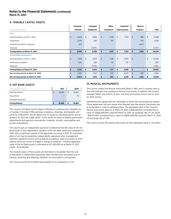# 8. TANGIBLE CAPITAL ASSETS

|                                       |    | Computer                 |            | Computer                 |               | <b>Office</b>            |            |                              |                |                          |            |          |  | Leasehold | Work in |  |  |  |              |  |                 |  |  |       |
|---------------------------------------|----|--------------------------|------------|--------------------------|---------------|--------------------------|------------|------------------------------|----------------|--------------------------|------------|----------|--|-----------|---------|--|--|--|--------------|--|-----------------|--|--|-------|
| (in thousands of dollars)             |    | <b>Software</b>          |            | Equipment                | Equipment     |                          |            |                              |                |                          |            |          |  |           |         |  |  |  | improvements |  | <b>Progress</b> |  |  | Total |
| Cost                                  |    |                          |            |                          |               |                          |            |                              |                |                          |            |          |  |           |         |  |  |  |              |  |                 |  |  |       |
| Opening balance at April 1, 2020      | \$ | 6,063                    | $\sqrt{2}$ | 5,666                    | \$            | 1,478                    | $\sqrt{2}$ | 7,752                        | $\sqrt{2}$     | 889                      | \$         | 21,848   |  |           |         |  |  |  |              |  |                 |  |  |       |
| Acquisitions                          |    | 2,076                    |            | 260                      |               | 153                      |            | $\overline{\phantom{a}}$     |                | 1,141                    |            | 3,630    |  |           |         |  |  |  |              |  |                 |  |  |       |
| Transfer from Work in Progress        |    | 447                      |            | $\overline{\phantom{0}}$ |               |                          |            | $\qquad \qquad \blacksquare$ |                | (447)                    |            |          |  |           |         |  |  |  |              |  |                 |  |  |       |
| <b>Disposals</b>                      |    | $\overline{\phantom{a}}$ |            | (1, 437)                 |               | $\overline{\phantom{0}}$ |            | $\overline{\phantom{a}}$     |                | $\overline{\phantom{0}}$ |            | (1, 437) |  |           |         |  |  |  |              |  |                 |  |  |       |
| Closing balance at March 31, 2021     | \$ | 8,586                    | \$         | 4,489                    | \$            | 1,631                    | \$         | 7,752                        | -5             | 1,583                    | \$         | 24,041   |  |           |         |  |  |  |              |  |                 |  |  |       |
| <b>Accumulated Amortization</b>       |    |                          |            |                          |               |                          |            |                              |                |                          |            |          |  |           |         |  |  |  |              |  |                 |  |  |       |
| Opening balance at April 1, 2020      | \$ | 1,766                    | $\sqrt{2}$ | 4,323                    | $\frac{2}{3}$ | 1,108                    | \$         | 3,205                        | $\sqrt{2}$     | $\sim$                   | \$         | 10,402   |  |           |         |  |  |  |              |  |                 |  |  |       |
| Amortization expense                  |    | 1,016                    |            | 565                      |               | 63                       |            | 331                          |                | $\overline{\phantom{0}}$ |            | 1,975    |  |           |         |  |  |  |              |  |                 |  |  |       |
| <b>Disposals</b>                      |    | $\overline{\phantom{a}}$ |            | (1, 414)                 |               | $\overline{\phantom{0}}$ |            | $\overline{\phantom{a}}$     |                | ۰.                       |            | (1, 414) |  |           |         |  |  |  |              |  |                 |  |  |       |
| Closing balance at March 31, 2021     | \$ | 2,782                    | \$         | 3,474                    | \$            | 1,171                    | \$         | 3,536                        | \$             | $\blacksquare$           | \$         | 10,963   |  |           |         |  |  |  |              |  |                 |  |  |       |
| Net carrying amount at March 31, 2020 | \$ | 4,297                    | \$         | 1,343                    | \$            | 370                      | \$         | 4,547                        | $\mathfrak{S}$ | 889                      | $\sqrt{2}$ | 11,446   |  |           |         |  |  |  |              |  |                 |  |  |       |
| Net carrying amount at March 31, 2021 | 5  | 5,804                    | \$         | 1,015                    | \$            | 460                      | \$         | 4,216                        | \$             | 1,583                    | \$         | 13,078   |  |           |         |  |  |  |              |  |                 |  |  |       |

#### 9. ART BANK ASSETS

| (in thousands of dollars) | 2021                     | 2020         |
|---------------------------|--------------------------|--------------|
| Opening balance           | \$<br>19.465             | \$<br>19.455 |
| Acquisitions              |                          | 10           |
| Disposals/donations       | $\overline{\phantom{a}}$ |              |
| <b>Closing Balance</b>    | 19,466                   | 19,465       |

The Council's Art Bank has the largest collection of contemporary Canadian art in Canada. It includes 17,169 paintings, sculptures, drawings, photographs and prints by 3,168 artists. The Art Bank rents its assets to interested parties and as at March 31, 2021 has 3,686 (2020 - 4,011) works on rental to federal government departments and agencies, associations, hospitals, schools, municipalities and private corporations.

The Council uses an independent appraiser to determine the fair value of the Art Bank assets. A full independent valuation of the Art Bank assets was completed in 2001, with a significant update of the appraisals occurring in 2010. An individual piece of art may be separately independently appraised when management identifies significant events such as special recognition, type of artworks or artist passing which are known to trigger a change in valuation. The total appraised value of the Art Bank assets is estimated at \$73,242,000 as at March 31, 2021 (2020 - \$71,678,000).

The residual values of these assets are estimated to be greater than the cost of purchases or independent appraisals when donated plus associated cost of framing, mounting and shipping; therefore no amortization is recognized.

The Council insures the Art Bank assets based on its assessment of risk.

#### 10. MUSICAL INSTRUMENTS

The Council created the Musical Instrument Bank in 1985, and it currently owns a fine cello bow and nine prestigious musical instruments. In addition, the Council manages fifteen instruments on loan, nine from anonymous donors and six from six other donors.

Agreements are signed with the individuals to whom the instruments are loaned. Those agreements include clauses that stipulate how the musical instruments are to be handled in order to safeguard them. The appraised value of the Council's Musical Instruments Bank as at March 31, 2021 is \$58,642,000 converted from a value of US\$46,658,000 using the March 31, 2021 US exchange rate of 1.26 (2020 - \$66,411,000, converted from a value of US\$46,658,000 using the March 31, 2020 US exchange rate of 1.42).

The Council insures the musical instruments at their appraised value, in US dollars.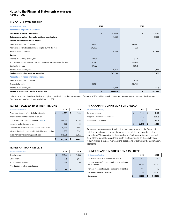#### 11. ACCUMULATED SURPLUS

| (in thousands of dollars)                                                |          | 2021          |           | 2020 |         |
|--------------------------------------------------------------------------|----------|---------------|-----------|------|---------|
| <b>Accumulated surplus from operations</b>                               |          |               |           |      |         |
| <b>Endowment - original contribution</b>                                 |          | \$<br>50,000  |           | \$   | 50,000  |
| <b>Endowment principal - Externally restricted contributions</b>         |          | 37,569        |           |      | 37,569  |
| <b>Reserve for excess investment income</b>                              |          |               |           |      |         |
| Balance at beginning of the year                                         | 203,445  |               | 190,445   |      |         |
| Appropriated from the accumulated surplus during the year                | 26,000   |               | 13,000    |      |         |
| Balance at end of the year                                               |          | 229,445       |           |      | 203,445 |
| <b>Surplus</b>                                                           |          |               |           |      |         |
| Balance at beginning of the year                                         | 32,454   |               | 26,376    |      |         |
| Appropriated to the reserve for excess investment income during the year | (26,000) |               | (13,000)  |      |         |
| Surplus for the year                                                     | 19,780   |               | 19,078    |      |         |
| Balance at end of the year                                               |          | 26,234        |           |      | 32,454  |
| Total accumulated surplus from operations                                |          | 343,248       |           |      | 323,468 |
| <b>Accumulated remeasurement gains (losses)</b>                          |          |               |           |      |         |
| Balance at beginning of the year                                         | (32)     |               | 30,731    |      |         |
| Change in fair value                                                     | 45,824   |               | (30, 763) |      |         |
| Balance at end of the year                                               |          | 45,792        |           |      | (32)    |
| Balance of accumulated surplus at end of year                            |          | 389,040<br>\$ |           | \$   | 323,436 |

Included in accumulated surplus is the original contribution by the Government of Canada of \$50 million, which constituted a government transfer ("Endowment Fund") when the Council was established in 1957.

#### 12. NET REALIZED INVESTMENT INCOME

| (in thousands of dollars)                                |  | 2021    | 2020         |
|----------------------------------------------------------|--|---------|--------------|
| Gains from disposal of portfolio investments<br>\$       |  | 18.332  | \$<br>11.526 |
| Income transferred to deferred revenues -                |  |         |              |
| Externally restricted contributions (Note 7)             |  | (7,705) | (4,702)      |
| Net gains on foreign exchange                            |  | 160     | 533          |
| Dividend and other distributed income - reinvested       |  | 11.559  | 11.084       |
| Interest, dividend and other distributed income - cashed |  | 9.828   | 6.707        |
| Investment portfolio management costs                    |  | (1,390) | (1,455)      |
|                                                          |  | 30.784  | 23.693       |

#### 13. NET ART BANK RESULTS

| (in thousands of dollars)            | 2021                     |    | 2020    |
|--------------------------------------|--------------------------|----|---------|
| Rental revenue                       | \$<br>(1,574)            | \$ | (1,589) |
| Other income                         | (107)                    |    | (265)   |
| Administration expense               | 1,708                    |    | 1,851   |
| Amortization of other capital assets | $\overline{\phantom{0}}$ |    | 4       |
|                                      | 27                       | S  |         |

#### 14. CANADIAN COMMISSION FOR UNESCO

| (in thousands of dollars)        | 2021        | 2020        |
|----------------------------------|-------------|-------------|
| Program expenses                 | \$<br>1.201 | \$<br>1.421 |
| Program - contributions received | (235)       | (530)       |
| Administration expense           | 1.480       | 1.621       |
|                                  | 2.446       | 2,512       |

Program expenses represent mainly the costs associated with the Commission's activities at national and international meetings related to education, science and culture. When applicable, these costs are offset by contributions received from other organizations partnering with the Commission on these activities. Administration expenses represent the direct costs of delivering the Commission's programs.

# 15. NET CHANGE IN OTHER NON CASH ITEMS

| (in thousands of dollars)                                            | 2021   | 2020        |
|----------------------------------------------------------------------|--------|-------------|
| Decrease (increase) in accounts receivable                           | 422    | \$<br>(201) |
| Increase (decrease) in grants, author payments and<br>prizes payable | 61.520 | (10, 011)   |
| Increase in accounts payable and accrued liabilities                 | 444    | 75          |
| Decrease in deferred revenues                                        | (98)   | (439)       |
| Net change                                                           | 62.288 | (10.576)    |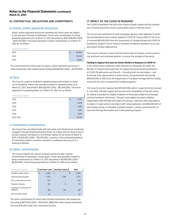#### 16. CONTRACTUAL OBLIGATIONS AND COMMITMENTS

#### a) Grants, author payments and prizes

Grants, author payments and prizes extending into future years are subject to the provision of funds by Parliament. Future year commitments for those payments approved prior to March 31, 2021 amounted to \$342,038,000 (2020 – \$252,357,000). The future payments of grant commitments as of March 31, 2021 are as follows:

| (in thousands of dollars) |               |
|---------------------------|---------------|
| 2022                      | \$<br>151,994 |
| 2023                      | 131,932       |
| 2024                      | 58,112        |

The commitments for future years for grants, author payments and prizes include transactions with related parties totaling \$9,629,000 (2020 - \$3,578,000).

#### b) Rent

The Council is party to long-term operating leases with respect to rental accommodation. Future year payments related to operating leases as of March 31, 2021 amounted to \$56,926,000 (2020 – \$61,640,000). The future payments of operating leases as of March 31, 2021 are as follows:

| (in thousands of dollars) |    |        |  |  |  |  |
|---------------------------|----|--------|--|--|--|--|
| 2022                      | \$ | 4,367  |  |  |  |  |
| 2023                      |    | 4,448  |  |  |  |  |
| 2024                      |    | 4,292  |  |  |  |  |
| 2025                      |    | 4,194  |  |  |  |  |
| 2026                      |    | 4,263  |  |  |  |  |
| 2027-2034                 |    | 35,362 |  |  |  |  |

#### c) Investment commitments

The Council has committed funds with real estate and infrastructure investment managers through limited partnership funds. As it takes time for those funds to be fully invested, the balance of committed capital not yet drawn at March 31, 2021 is \$7,461,000 (2020 – \$10,791,000). A portion of the outstanding balance of committed capital is currently invested in a preferred rate account in a financial institution.

#### d) Other commitments

The Council entered into various contracts during the year creating commitments of payments in future years. Future year payments related to these commitments as of March 31, 2021 amounted to \$9,564,000 (2020 – \$8,667,000). Future annual payments as of March 31, 2021 are as follows:

| (in thousands of dollars)                |             | Less than 1 year   Less than 5 years | <b>Total</b> |
|------------------------------------------|-------------|--------------------------------------|--------------|
| Tangible capital assets                  | \$<br>4.290 | \$                                   | 4,290<br>\$  |
| General administration                   | 2,217       | 1.558                                | 3,775        |
| Arts community services                  | 974         |                                      | 974          |
| Program Delivery                         | 166         | 8                                    | 174          |
| Canadian Commission for<br><b>UNESCO</b> | 169         | 155                                  | 324          |
| Net Art Bank results                     | 27          |                                      | 27           |

The other commitments for future years include transactions with related parties totaling \$873,000 (2020 - \$524,000), \$663,000 under General administration and \$210,000 under Arts community services.

#### 17. IMPACT OF THE COVID-19 PANDEMIC

The COVID-19 pandemic has led to the closure of public spaces and the cancellation of events around the world, causing great stress on the arts sector.

The Council has maintained its level of program delivery while adjusting its priorities and operations due to events related to COVID-19. During 2020-21, the Council received \$62,800,000 from the Government of Canada through the COVID-19 Emergency Support Fund in order to distribute emergency assistance to its core and project funded organizations.

The Council continues to work with the Government of Canada, as well as provincial, territorial, and municipal partners, to ensure the strength of the sector.

#### *Funding to Support Arts and Live Events Workers in Response to COVID-19*

In the Fall Economic Statement 2020 delivered on November 30, 2020, the Minister of Finance announced that "to support the planning and presentation of COVID-19-safe events and the arts — including both live and digital — and to provide work opportunities in these sectors, the government will provide \$181,500,000 in 2021-22 to the Department of Canadian Heritage and the Canada Council for the Arts to expand their funding programs."

The Council's portion representing \$116,500,000, which is expected to be received in June 2021, will help support the recovery and sustainability of the arts sector, by making it possible for eligible recipients to financially bridge this prolonged period of pandemic restrictions. Through a new digital innovation initiative (Digital Now) \$50,500,000 will enable arts groups, collectives and organizations to adapt or create works to be shared with virtual audiences; and \$66,000,000 of new funding will go to stimulate increased research, creation and production of new work through the Explore and Create granting program.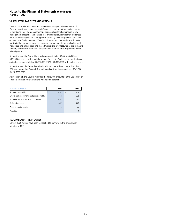#### 18. RELATED PARTY TRANSACTIONS

The Council is related in terms of common ownership to all Government of Canada departments, agencies, and Crown corporations. Other related parties of the Council are key management personnel, close family members of key management personnel and entities that are controlled, significantly influenced by, or for which significant voting power is held by key management personnel or their close family members. The Council enters into transactions with related parties in the normal course of business on normal trade terms applicable to all individuals and enterprises, and these transactions are measured at the exchange amount, which is the amount of consideration established and agreed to by the related parties.

During the year, the Council incurred expenses totaling \$7,601,000 (2020 – \$3,519,000) and recorded rental revenues for the Art Bank assets, contributions and other revenues totaling \$2,764,000 (2020 – \$6,418,000) with related parties.

During the year, the Council received audit services without charge from the Office of the Auditor General. The estimated cost for these services is \$545,000 (2020: \$335,000).

As at March 31, the Council recorded the following amounts on the Statement of Financial Position for transactions with related parties:

| (in thousands of dollars)                  | 2021      | 2020      |
|--------------------------------------------|-----------|-----------|
| Accounts receivable                        | \$<br>654 | \$<br>902 |
| Grants, author payments and prizes payable | 852       | 663       |
| Accounts payable and accrued liabilities   | 686       | 700       |
| Deferred revenues                          | 437       | 447       |
| Tangible capital assets                    |           | 122       |
| Prepaids                                   |           |           |

#### 19. COMPARATIVE FIGURES

Certain 2020 figures have been reclassified to conform to the presentation adopted in 2021.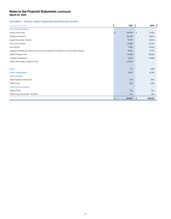# **Schedule I - Grants, Author Payments and Prizes by Section**

| (in thousands of dollars)                                                                      | 2021          | 2020                 |
|------------------------------------------------------------------------------------------------|---------------|----------------------|
| <b>Arts Granting Programs</b>                                                                  |               |                      |
| <b>Explore and Create</b>                                                                      | 105,248<br>£  | $\sqrt{5}$<br>77,422 |
| Engage and Sustain                                                                             | 80,580        | 73,879               |
| <b>Supporting Artistic Practice</b>                                                            | 37,787        | 35,572               |
| Arts Across Canada                                                                             | 20,596        | 24,344               |
| Arts Abroad                                                                                    | 6,184         | 16,309               |
| Creating, Knowing and Sharing: The Arts and Cultures of First Nations, Inuit and Métis Peoples | 15,625        | 14,317               |
| Digital Strategy Fund                                                                          | 46,388        | 20,520               |
| Strategic Investments                                                                          | 2,884         | 10,026               |
| COVID-19 Emergency Support Fund                                                                | 62,800        |                      |
|                                                                                                |               |                      |
| <b>Prizes</b>                                                                                  | 314           | 1,028                |
| <b>Public Lending Right</b>                                                                    | 14,807        | 14,784               |
| <b>Killam Program</b>                                                                          |               |                      |
| Killam Research Fellowships                                                                    | 420           | 840                  |
| Killam Prizes                                                                                  | 500           | 500                  |
| <b>Other Prizes and Awards</b>                                                                 |               |                      |
| <b>Molson Prizes</b>                                                                           | 100           | 100                  |
| Other prizes and awards < \$75,000                                                             | 354           | 287                  |
|                                                                                                | 394,587<br>\$ | 289,928<br>\$        |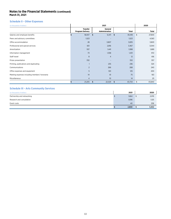# **Schedule II - Other Expenses**

| (in thousands of dollars)                     | 2021                                       |    |                                  |      |        |            | 2020   |
|-----------------------------------------------|--------------------------------------------|----|----------------------------------|------|--------|------------|--------|
|                                               | <b>Transfer</b><br><b>Program Delivery</b> |    | General<br><b>Administration</b> |      | Total  |            | Total  |
| Salaries and employee benefits                | 18,007                                     | \$ | 12,411                           | \$   | 30,418 | $\sqrt{2}$ | 27,844 |
| Peers and advisory committees                 | 1,523                                      |    |                                  |      | 1,523  |            | 4,563  |
| Office accommodation                          | 28                                         |    | 3,807                            |      | 3,835  |            | 3,803  |
| Professional and special services             | 651                                        |    | 2,816                            |      | 3,467  |            | 3,044  |
| Amortization                                  | 557                                        |    | 1,441                            |      | 1,998  |            | 1,689  |
| Information management                        | 73                                         |    | 1,358                            |      | 1,431  |            | 972    |
| Staff travel                                  | 8                                          |    | 4                                |      | 12     |            | 616    |
| Prizes presentation                           | 332                                        |    |                                  |      | 332    |            | 357    |
| Printing, publications and duplicating        |                                            |    | 235                              |      | 236    |            | 324    |
| Communications                                | $\overline{2}$                             |    | 266                              |      | 268    |            | 240    |
| Office expenses and equipment                 | 5                                          |    | 120                              |      | 125    |            | 200    |
| Meeting expenses including members' honoraria | 14                                         |    | 61                               |      | 75     |            | 163    |
| Miscellaneous                                 | $\overline{4}$                             |    | 10                               |      | 14     |            | 25     |
|                                               | 21,205                                     | -5 | 22,529                           | - \$ | 43,734 | \$         | 43,840 |

# **Schedule III - Arts Community Services**

| (in thousands of dollars)  | 2021  | 2020  |
|----------------------------|-------|-------|
| Partnership and networking | 1,664 | 2,019 |
| Research and consultation  | 1,096 | 1,125 |
| Event costs                | 40    | 258   |
|                            | 2,800 | 3,402 |